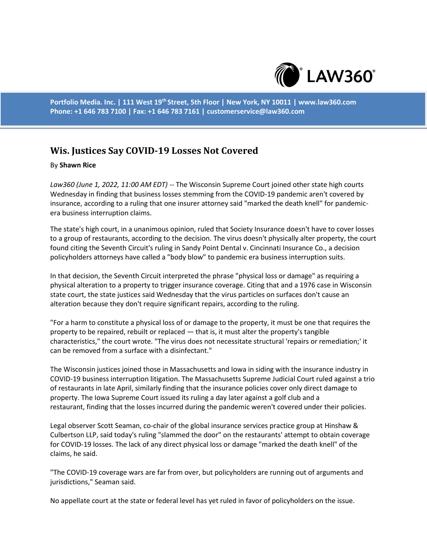

**Portfolio Media. Inc. | 111 West 19th Street, 5th Floor | New York, NY 10011 | www.law360.com Phone: +1 646 783 7100 | Fax: +1 646 783 7161 | customerservice@law360.com**

## **Wis. Justices Say COVID-19 Losses Not Covered**

## By **Shawn Rice**

*Law360 (June 1, 2022, 11:00 AM EDT)* -- The Wisconsin Supreme Court joined other state high courts Wednesday in finding that business losses stemming from the COVID-19 pandemic aren't covered by insurance, according to a ruling that one insurer attorney said "marked the death knell" for pandemicera business interruption claims.

The state's high court, in a unanimous opinion, ruled that Society Insurance doesn't have to cover losses to a group of restaurants, according to the decision. The virus doesn't physically alter property, the court found citing the Seventh Circuit's ruling in Sandy Point Dental v. Cincinnati Insurance Co., a decision policyholders attorneys have called a "body blow" to pandemic era business interruption suits.

In that decision, the Seventh Circuit interpreted the phrase "physical loss or damage" as requiring a physical alteration to a property to trigger insurance coverage. Citing that and a 1976 case in Wisconsin state court, the state justices said Wednesday that the virus particles on surfaces don't cause an alteration because they don't require significant repairs, according to the ruling.

"For a harm to constitute a physical loss of or damage to the property, it must be one that requires the property to be repaired, rebuilt or replaced — that is, it must alter the property's tangible characteristics," the court wrote. "The virus does not necessitate structural 'repairs or remediation;' it can be removed from a surface with a disinfectant."

The Wisconsin justices joined those in Massachusetts and Iowa in siding with the insurance industry in COVID-19 business interruption litigation. The Massachusetts Supreme Judicial Court ruled against a trio of restaurants in late April, similarly finding that the insurance policies cover only direct damage to property. The Iowa Supreme Court issued its ruling a day later against a golf club and a restaurant, finding that the losses incurred during the pandemic weren't covered under their policies.

Legal observer Scott Seaman, co-chair of the global insurance services practice group at Hinshaw & Culbertson LLP, said today's ruling "slammed the door" on the restaurants' attempt to obtain coverage for COVID-19 losses. The lack of any direct physical loss or damage "marked the death knell" of the claims, he said.

"The COVID-19 coverage wars are far from over, but policyholders are running out of arguments and jurisdictions," Seaman said.

No appellate court at the state or federal level has yet ruled in favor of policyholders on the issue.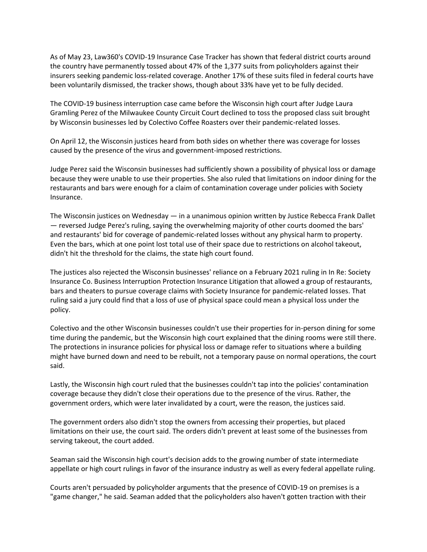As of May 23, Law360's COVID-19 Insurance Case Tracker has shown that federal district courts around the country have permanently tossed about 47% of the 1,377 suits from policyholders against their insurers seeking pandemic loss-related coverage. Another 17% of these suits filed in federal courts have been voluntarily dismissed, the tracker shows, though about 33% have yet to be fully decided.

The COVID-19 business interruption case came before the Wisconsin high court after Judge Laura Gramling Perez of the Milwaukee County Circuit Court declined to toss the proposed class suit brought by Wisconsin businesses led by Colectivo Coffee Roasters over their pandemic-related losses.

On April 12, the Wisconsin justices heard from both sides on whether there was coverage for losses caused by the presence of the virus and government-imposed restrictions.

Judge Perez said the Wisconsin businesses had sufficiently shown a possibility of physical loss or damage because they were unable to use their properties. She also ruled that limitations on indoor dining for the restaurants and bars were enough for a claim of contamination coverage under policies with Society Insurance.

The Wisconsin justices on Wednesday — in a unanimous opinion written by Justice Rebecca Frank Dallet — reversed Judge Perez's ruling, saying the overwhelming majority of other courts doomed the bars' and restaurants' bid for coverage of pandemic-related losses without any physical harm to property. Even the bars, which at one point lost total use of their space due to restrictions on alcohol takeout, didn't hit the threshold for the claims, the state high court found.

The justices also rejected the Wisconsin businesses' reliance on a February 2021 ruling in In Re: Society Insurance Co. Business Interruption Protection Insurance Litigation that allowed a group of restaurants, bars and theaters to pursue coverage claims with Society Insurance for pandemic-related losses. That ruling said a jury could find that a loss of use of physical space could mean a physical loss under the policy.

Colectivo and the other Wisconsin businesses couldn't use their properties for in-person dining for some time during the pandemic, but the Wisconsin high court explained that the dining rooms were still there. The protections in insurance policies for physical loss or damage refer to situations where a building might have burned down and need to be rebuilt, not a temporary pause on normal operations, the court said.

Lastly, the Wisconsin high court ruled that the businesses couldn't tap into the policies' contamination coverage because they didn't close their operations due to the presence of the virus. Rather, the government orders, which were later invalidated by a court, were the reason, the justices said.

The government orders also didn't stop the owners from accessing their properties, but placed limitations on their use, the court said. The orders didn't prevent at least some of the businesses from serving takeout, the court added.

Seaman said the Wisconsin high court's decision adds to the growing number of state intermediate appellate or high court rulings in favor of the insurance industry as well as every federal appellate ruling.

Courts aren't persuaded by policyholder arguments that the presence of COVID-19 on premises is a "game changer," he said. Seaman added that the policyholders also haven't gotten traction with their